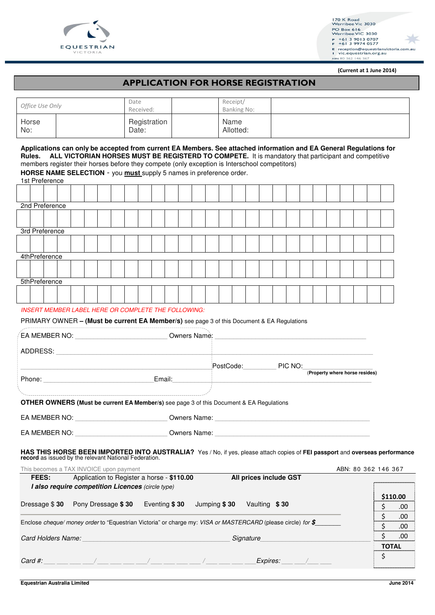



(Current at 1 June 2014)

### APPLICATION FOR HORSE REGISTRATION

|                 |  | Date                  | Receipt/          |  |
|-----------------|--|-----------------------|-------------------|--|
| Office Use Only |  | Received:             | Banking No:       |  |
| Horse<br>No:    |  | Registration<br>Date: | Name<br>Allotted: |  |

**Applications can only be accepted from current EA Members. See attached information and EA General Regulations for Rules. ALL VICTORIAN HORSES MUST BE REGISTERD TO COMPETE.** It is mandatory that participant and competitive members register their horses before they compete (only exception is Interschool competitors) **HORSE NAME SELECTION** - you **must** supply 5 names in preference order. 1st Preference

| 2nd Preference |  |  |  |  |  |  |  |  |  |  |  |  |  |  |  |  |  |  |
|----------------|--|--|--|--|--|--|--|--|--|--|--|--|--|--|--|--|--|--|
|                |  |  |  |  |  |  |  |  |  |  |  |  |  |  |  |  |  |  |
|                |  |  |  |  |  |  |  |  |  |  |  |  |  |  |  |  |  |  |
| 3rd Preference |  |  |  |  |  |  |  |  |  |  |  |  |  |  |  |  |  |  |
|                |  |  |  |  |  |  |  |  |  |  |  |  |  |  |  |  |  |  |
|                |  |  |  |  |  |  |  |  |  |  |  |  |  |  |  |  |  |  |
| 4thPreference  |  |  |  |  |  |  |  |  |  |  |  |  |  |  |  |  |  |  |
|                |  |  |  |  |  |  |  |  |  |  |  |  |  |  |  |  |  |  |
|                |  |  |  |  |  |  |  |  |  |  |  |  |  |  |  |  |  |  |
| 5thPreference  |  |  |  |  |  |  |  |  |  |  |  |  |  |  |  |  |  |  |
|                |  |  |  |  |  |  |  |  |  |  |  |  |  |  |  |  |  |  |
|                |  |  |  |  |  |  |  |  |  |  |  |  |  |  |  |  |  |  |

### INSERT MEMBER LABEL HERE OR COMPLETE THE FOLLOWING:

### PRIMARY OWNER **– (Must be current EA Member/s)** see page 3 of this Document & EA Regulations

|       | EA MEMBER NO: University of the state of the state of the state of the state of the state of the state of the state of the state of the state of the state of the state of the state of the state of the state of the state of |                                                                                                                   |                        | Owners Name: 1988. Communication of the Manuscript Communication of the Manuscript Communication of the Manuscript Communication of the Manuscript Communication of the Manuscript Communication of the Manuscript Communicati |                     |                          |             |
|-------|--------------------------------------------------------------------------------------------------------------------------------------------------------------------------------------------------------------------------------|-------------------------------------------------------------------------------------------------------------------|------------------------|--------------------------------------------------------------------------------------------------------------------------------------------------------------------------------------------------------------------------------|---------------------|--------------------------|-------------|
|       |                                                                                                                                                                                                                                |                                                                                                                   |                        |                                                                                                                                                                                                                                |                     |                          |             |
|       |                                                                                                                                                                                                                                |                                                                                                                   |                        | PostCode: PIC NO:<br>(Property where horse resides)                                                                                                                                                                            |                     |                          |             |
|       |                                                                                                                                                                                                                                |                                                                                                                   |                        |                                                                                                                                                                                                                                |                     |                          |             |
|       |                                                                                                                                                                                                                                |                                                                                                                   |                        |                                                                                                                                                                                                                                |                     |                          |             |
|       |                                                                                                                                                                                                                                | OTHER OWNERS (Must be current EA Member/s) see page 3 of this Document & EA Regulations                           |                        |                                                                                                                                                                                                                                |                     |                          |             |
|       |                                                                                                                                                                                                                                |                                                                                                                   |                        |                                                                                                                                                                                                                                |                     |                          |             |
|       |                                                                                                                                                                                                                                |                                                                                                                   |                        |                                                                                                                                                                                                                                |                     |                          |             |
|       | This becomes a TAX INVOICE upon payment                                                                                                                                                                                        |                                                                                                                   |                        | HAS THIS HORSE BEEN IMPORTED INTO AUSTRALIA? Yes / No, if yes, please attach copies of FEI passport and overseas performance record as issued by the relevant National Federation.                                             | ABN: 80 362 146 367 |                          |             |
| FEES: | Application to Register a horse - \$110.00                                                                                                                                                                                     |                                                                                                                   | All prices include GST |                                                                                                                                                                                                                                |                     |                          |             |
|       | I also require competition Licences (circle type)                                                                                                                                                                              |                                                                                                                   |                        |                                                                                                                                                                                                                                |                     | \$110.00                 |             |
|       |                                                                                                                                                                                                                                | Dressage $$30$ Pony Dressage $$30$ Eventing $$30$ Jumping $$30$ Vaulting $$30$                                    |                        |                                                                                                                                                                                                                                |                     | Ś.                       | .00         |
|       |                                                                                                                                                                                                                                | Enclose cheque/ money order to "Equestrian Victoria" or charge my: VISA or MASTERCARD (please circle) for $\oint$ |                        |                                                                                                                                                                                                                                |                     | \$                       | .00         |
|       |                                                                                                                                                                                                                                | Card Holders Name: Mannell Card Holders Name: Management Card Holders Name: Management Card Management Card Ma    | Signature              |                                                                                                                                                                                                                                |                     | \$<br>$\mathsf{\dot{S}}$ | .00<br>.00. |
|       |                                                                                                                                                                                                                                |                                                                                                                   |                        |                                                                                                                                                                                                                                |                     | <b>TOTAL</b>             |             |
|       |                                                                                                                                                                                                                                |                                                                                                                   |                        |                                                                                                                                                                                                                                |                     | \$                       |             |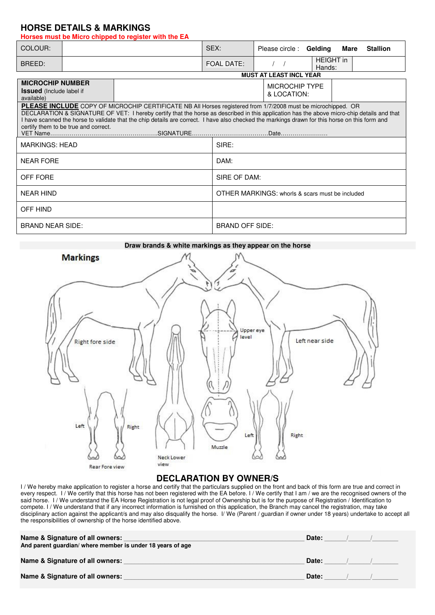## **HORSE DETAILS & MARKINGS**

**Horses must be Micro chipped to register with the EA** 

| COLOUR:                                                                  |                                      |  | SEX:                                                                                                                                                                                                                                                                                                                                                                                                         | Please circle: Gelding                          |                            | Mare | <b>Stallion</b> |  |  |  |
|--------------------------------------------------------------------------|--------------------------------------|--|--------------------------------------------------------------------------------------------------------------------------------------------------------------------------------------------------------------------------------------------------------------------------------------------------------------------------------------------------------------------------------------------------------------|-------------------------------------------------|----------------------------|------|-----------------|--|--|--|
| BREED:                                                                   |                                      |  | <b>FOAL DATE:</b>                                                                                                                                                                                                                                                                                                                                                                                            |                                                 | <b>HEIGHT</b> in<br>Hands: |      |                 |  |  |  |
|                                                                          |                                      |  |                                                                                                                                                                                                                                                                                                                                                                                                              | <b>MUST AT LEAST INCL YEAR</b>                  |                            |      |                 |  |  |  |
| <b>MICROCHIP NUMBER</b><br><b>Issued</b> (Include label if<br>available) |                                      |  |                                                                                                                                                                                                                                                                                                                                                                                                              | <b>MICROCHIP TYPE</b><br>& LOCATION:            |                            |      |                 |  |  |  |
|                                                                          | certify them to be true and correct. |  | PLEASE INCLUDE COPY OF MICROCHIP CERTIFICATE NB All Horses registered from 1/7/2008 must be microchipped. OR<br>DECLARATION & SIGNATURE OF VET: I hereby certify that the horse as described in this application has the above micro-chip details and that<br>I have scanned the horse to validate that the chip details are correct. I have also checked the markings drawn for this horse on this form and |                                                 |                            |      |                 |  |  |  |
| <b>MARKINGS: HEAD</b>                                                    |                                      |  | SIRE:                                                                                                                                                                                                                                                                                                                                                                                                        |                                                 |                            |      |                 |  |  |  |
| <b>NEAR FORE</b>                                                         |                                      |  | DAM:                                                                                                                                                                                                                                                                                                                                                                                                         |                                                 |                            |      |                 |  |  |  |
| OFF FORE                                                                 |                                      |  |                                                                                                                                                                                                                                                                                                                                                                                                              | SIRE OF DAM:                                    |                            |      |                 |  |  |  |
| <b>NEAR HIND</b>                                                         |                                      |  |                                                                                                                                                                                                                                                                                                                                                                                                              | OTHER MARKINGS: whorls & scars must be included |                            |      |                 |  |  |  |
| OFF HIND                                                                 |                                      |  |                                                                                                                                                                                                                                                                                                                                                                                                              |                                                 |                            |      |                 |  |  |  |
| <b>BRAND NEAR SIDE:</b>                                                  |                                      |  | <b>BRAND OFF SIDE:</b>                                                                                                                                                                                                                                                                                                                                                                                       |                                                 |                            |      |                 |  |  |  |



# **DECLARATION BY OWNER/S**

I / We hereby make application to register a horse and certify that the particulars supplied on the front and back of this form are true and correct in every respect. I / We certify that this horse has not been registered with the EA before. I / We certify that I am / we are the recognised owners of the said horse. I / We understand the EA Horse Registration is not legal proof of Ownership but is for the purpose of Registration / Identification to compete. I / We understand that if any incorrect information is furnished on this application, the Branch may cancel the registration, may take disciplinary action against the applicant/s and may also disqualify the horse. I/ We (Parent / guardian if owner under 18 years) undertake to accept all the responsibilities of ownership of the horse identified above.

| Name & Signature of all owners:<br>And parent quardian/ where member is under 18 years of age | Date: |  |
|-----------------------------------------------------------------------------------------------|-------|--|
| Name & Signature of all owners:                                                               | Date: |  |
| Name & Signature of all owners:                                                               | Date: |  |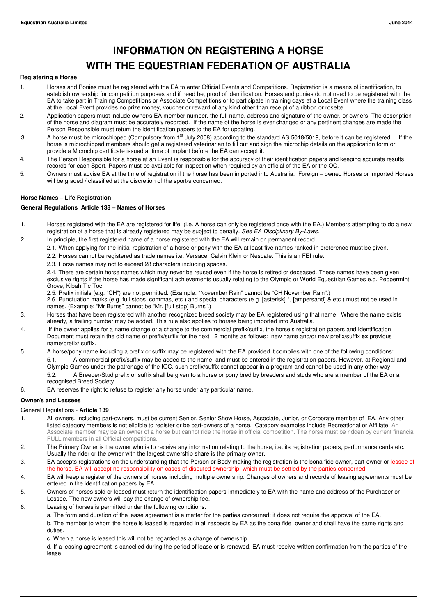# **INFORMATION ON REGISTERING A HORSE WITH THE EQUESTRIAN FEDERATION OF AUSTRALIA**

#### **Registering a Horse**

- 1. Horses and Ponies must be registered with the EA to enter Official Events and Competitions. Registration is a means of identification, to establish ownership for competition purposes and if need be, proof of identification. Horses and ponies do not need to be registered with the EA to take part in Training Competitions or Associate Competitions or to participate in training days at a Local Event where the training class at the Local Event provides no prize money, voucher or reward of any kind other than receipt of a ribbon or rosette.
- 2. Application papers must include owner/s EA member number, the full name, address and signature of the owner, or owners. The description of the horse and diagram must be accurately recorded. If the name of the horse is ever changed or any pertinent changes are made the Person Responsible must return the identification papers to the EA for updating.
- 3. A horse must be microchipped (Compulsory from 1<sup>st</sup> July 2008) according to the standard AS 5018/5019, before it can be registered. If the horse is microchipped members should get a registered veterinarian to fill out and sign the microchip details on the application form or provide a Microchip certificate issued at time of implant before the EA can accept it.
- 4. The Person Responsible for a horse at an Event is responsible for the accuracy of their identification papers and keeping accurate results records for each Sport. Papers must be available for inspection when required by an official of the EA or the OC.
- 5. Owners must advise EA at the time of registration if the horse has been imported into Australia. Foreign owned Horses or imported Horses will be graded / classified at the discretion of the sport/s concerned.

### **Horse Names – Life Registration**

#### **General Regulations Article 138 – Names of Horses**

- 1. Horses registered with the EA are registered for life. (i.e. A horse can only be registered once with the EA.) Members attempting to do a new registration of a horse that is already registered may be subject to penalty. See EA Disciplinary By-Laws.
- 2. In principle, the first registered name of a horse registered with the EA will remain on permanent record.
	- 2.1. When applying for the initial registration of a horse or pony with the EA at least five names ranked in preference must be given.
	- 2.2. Horses cannot be registered as trade names i.e. Versace, Calvin Klein or Nescafe. This is an FEI rule.
	- 2.3. Horse names may not to exceed 28 characters including spaces.

2.4. There are certain horse names which may never be reused even if the horse is retired or deceased. These names have been given exclusive rights if the horse has made significant achievements usually relating to the Olympic or World Equestrian Games e.g. Peppermint Grove, Kibah Tic Toc.

2.5. Prefix initials (e.g. "CH") are not permitted. (Example: "November Rain" cannot be "CH November Rain".)

2.6. Punctuation marks (e.g. full stops, commas, etc.) and special characters (e.g. [asterisk] \*, [ampersand] & etc.) must not be used in names. (Example: "Mr Burns" cannot be "Mr. [full stop] Burns".)

- 3. Horses that have been registered with another recognized breed society may be EA registered using that name. Where the name exists already, a trailing number may be added. This rule also applies to horses being imported into Australia.
- 4. If the owner applies for a name change or a change to the commercial prefix/suffix, the horse's registration papers and Identification Document must retain the old name or prefix/suffix for the next 12 months as follows: new name and/or new prefix/suffix **ex** previous name/prefix/ suffix.
- 5. A horse/pony name including a prefix or suffix may be registered with the EA provided it complies with one of the following conditions: 5.1. A commercial prefix/suffix may be added to the name, and must be entered in the registration papers. However, at Regional and Olympic Games under the patronage of the IOC, such prefix/suffix cannot appear in a program and cannot be used in any other way.
	- 5.2. A Breeder/Stud prefix or suffix shall be given to a horse or pony bred by breeders and studs who are a member of the EA or a recognised Breed Society.
- 6. EA reserves the right to refuse to register any horse under any particular name..

### **Owner/s and Lessees**

### General Regulations - **Article 139**

- 1. All owners, including part-owners, must be current Senior, Senior Show Horse, Associate, Junior, or Corporate member of EA. Any other listed category members is not eligible to register or be part-owners of a horse. Category examples include Recreational or Affiliate. An Associate member may be an owner of a horse but cannot ride the horse in official competition. The horse must be ridden by current financial FULL members in all Official competitions.
- 2. The Primary Owner is the owner who is to receive any information relating to the horse, i.e. its registration papers, performance cards etc. Usually the rider or the owner with the largest ownership share is the primary owner.
- 3. EA accepts registrations on the understanding that the Person or Body making the registration is the bona fide owner, part-owner or lessee of the horse. EA will accept no responsibility on cases of disputed ownership, which must be settled by the parties concerned.
- 4. EA will keep a register of the owners of horses including multiple ownership. Changes of owners and records of leasing agreements must be entered in the identification papers by EA.
- 5. Owners of horses sold or leased must return the identification papers immediately to EA with the name and address of the Purchaser or Lessee. The new owners will pay the change of ownership fee.
- 6. Leasing of horses is permitted under the following conditions.
	- a. The form and duration of the lease agreement is a matter for the parties concerned; it does not require the approval of the EA.

 b. The member to whom the horse is leased is regarded in all respects by EA as the bona fide owner and shall have the same rights and duties.

c. When a horse is leased this will not be regarded as a change of ownership.

d. If a leasing agreement is cancelled during the period of lease or is renewed, EA must receive written confirmation from the parties of the lease.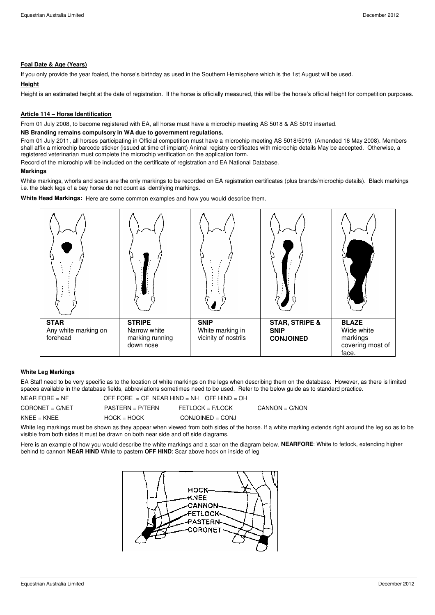### **Foal Date & Age (Years)**

If you only provide the year foaled, the horse's birthday as used in the Southern Hemisphere which is the 1st August will be used.

### **Height**

Height is an estimated height at the date of registration. If the horse is officially measured, this will be the horse's official height for competition purposes.

#### **Article 114 – Horse Identification**

From 01 July 2008, to become registered with EA, all horse must have a microchip meeting AS 5018 & AS 5019 inserted.

#### **NB Branding remains compulsory in WA due to government regulations.**

From 01 July 2011, all horses participating in Official competition must have a microchip meeting AS 5018/5019, (Amended 16 May 2008). Members shall affix a microchip barcode sticker (issued at time of implant) Animal registry certificates with microchip details May be accepted. Otherwise, a registered veterinarian must complete the microchip verification on the application form.

Record of the microchip will be included on the certificate of registration and EA National Database.

### **Markings**

White markings, whorls and scars are the only markings to be recorded on EA registration certificates (plus brands/microchip details). Black markings i.e. the black legs of a bay horse do not count as identifying markings.

**White Head Markings:** Here are some common examples and how you would describe them.



#### **White Leg Markings**

EA Staff need to be very specific as to the location of white markings on the legs when describing them on the database. However, as there is limited spaces available in the database fields, abbreviations sometimes need to be used. Refer to the below guide as to standard practice.

| NEAR FORE $=$ NF  | OFF FORE = OF NEAR HIND = NH OFF HIND = OH |                    |                  |
|-------------------|--------------------------------------------|--------------------|------------------|
| $CORONET = C/NET$ | $PASTERN = P/TERN$                         | FETLOCK = F/LOCK   | $CANNON = C/NON$ |
| $KNFF = KNFF$     | $HOCK = HOCK$                              | $COMJOINED = CONJ$ |                  |

White leg markings must be shown as they appear when viewed from both sides of the horse. If a white marking extends right around the leg so as to be visible from both sides it must be drawn on both near side and off side diagrams.

Here is an example of how you would describe the white markings and a scar on the diagram below. **NEARFORE**: White to fetlock, extending higher behind to cannon **NEAR HIND** White to pastern **OFF HIND**: Scar above hock on inside of leg